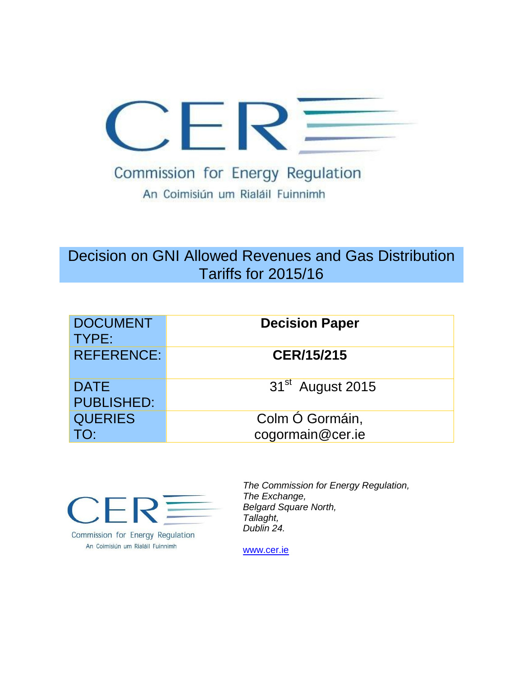

# Decision on GNI Allowed Revenues and Gas Distribution Tariffs for 2015/16

| <b>DOCUMENT</b><br>TYPE:         | <b>Decision Paper</b>               |
|----------------------------------|-------------------------------------|
| <b>REFERENCE:</b>                | <b>CER/15/215</b>                   |
| <b>DATE</b><br><b>PUBLISHED:</b> | 31 <sup>st</sup> August 2015        |
| <b>QUERIES</b>                   | Colm Ó Gormáin,<br>cogormain@cer.ie |



Commission for Energy Regulation An Coimisiún um Rialáil Fuinnimh

*The Commission for Energy Regulation, The Exchange, Belgard Square North, Tallaght, Dublin 24.*

[www.cer.ie](http://www.cer.ie/)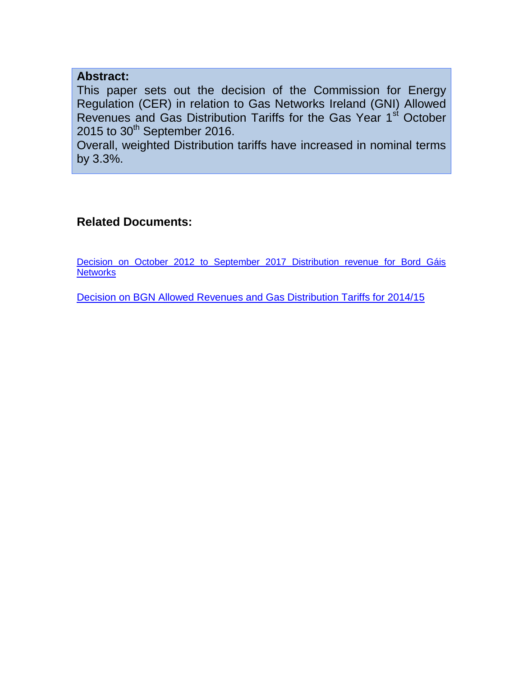### **Abstract:**

This paper sets out the decision of the Commission for Energy Regulation (CER) in relation to Gas Networks Ireland (GNI) Allowed Revenues and Gas Distribution Tariffs for the Gas Year 1<sup>st</sup> October  $2015$  to  $30<sup>th</sup>$  September 2016.

Overall, weighted Distribution tariffs have increased in nominal terms by 3.3%.

### **Related Documents:**

[Decision on October 2012 to September 2017 Distribution revenue for Bord Gáis](http://www.cer.ie/docs/000404/cer12194.pdf)  **[Networks](http://www.cer.ie/docs/000404/cer12194.pdf)** 

[Decision on BGN Allowed Revenues and Gas Distribution Tariffs for 2014/15](file:///C:/Users/cogormain/AppData/Local/Hewlett-Packard/HP%20TRIM/TEMP/HPTRIM.3452/D%2014%2017369%20%20140814%20Distribution%20Tariffs%20Decision.DOCX)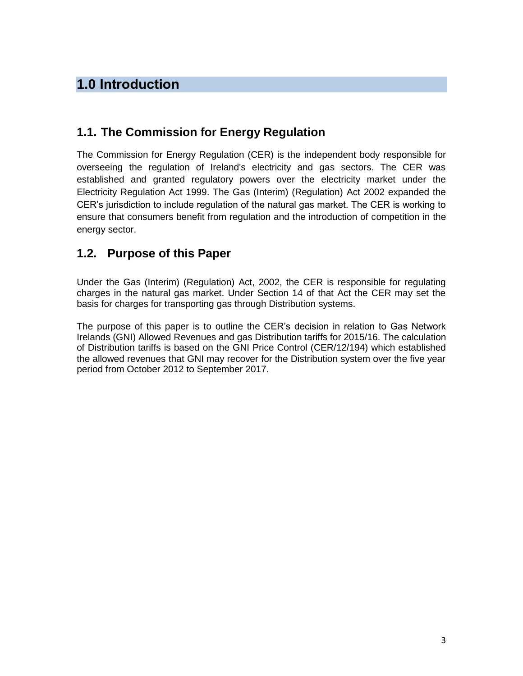# **1.0 Introduction**

## **1.1. The Commission for Energy Regulation**

The Commission for Energy Regulation (CER) is the independent body responsible for overseeing the regulation of Ireland's electricity and gas sectors. The CER was established and granted regulatory powers over the electricity market under the Electricity Regulation Act 1999. The Gas (Interim) (Regulation) Act 2002 expanded the CER's jurisdiction to include regulation of the natural gas market. The CER is working to ensure that consumers benefit from regulation and the introduction of competition in the energy sector.

## **1.2. Purpose of this Paper**

Under the Gas (Interim) (Regulation) Act, 2002, the CER is responsible for regulating charges in the natural gas market. Under Section 14 of that Act the CER may set the basis for charges for transporting gas through Distribution systems.

The purpose of this paper is to outline the CER's decision in relation to Gas Network Irelands (GNI) Allowed Revenues and gas Distribution tariffs for 2015/16. The calculation of Distribution tariffs is based on the GNI Price Control (CER/12/194) which established the allowed revenues that GNI may recover for the Distribution system over the five year period from October 2012 to September 2017.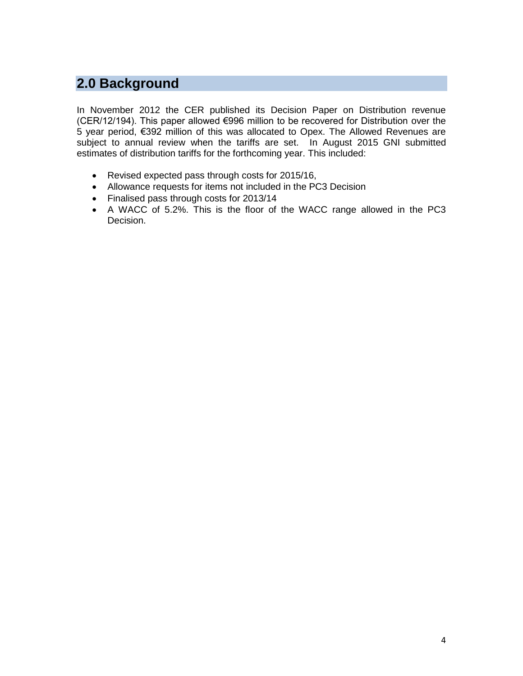# **2.0 Background**

In November 2012 the CER published its Decision Paper on Distribution revenue (CER/12/194). This paper allowed €996 million to be recovered for Distribution over the 5 year period, €392 million of this was allocated to Opex. The Allowed Revenues are subject to annual review when the tariffs are set. In August 2015 GNI submitted estimates of distribution tariffs for the forthcoming year. This included:

- Revised expected pass through costs for 2015/16,
- Allowance requests for items not included in the PC3 Decision
- Finalised pass through costs for 2013/14
- A WACC of 5.2%. This is the floor of the WACC range allowed in the PC3 Decision.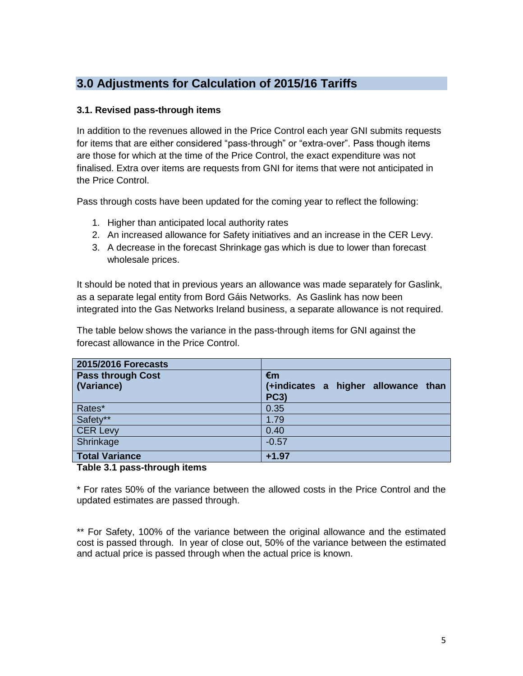## **3.0 Adjustments for Calculation of 2015/16 Tariffs**

#### **3.1. Revised pass-through items**

In addition to the revenues allowed in the Price Control each year GNI submits requests for items that are either considered "pass-through" or "extra-over". Pass though items are those for which at the time of the Price Control, the exact expenditure was not finalised. Extra over items are requests from GNI for items that were not anticipated in the Price Control.

Pass through costs have been updated for the coming year to reflect the following:

- 1. Higher than anticipated local authority rates
- 2. An increased allowance for Safety initiatives and an increase in the CER Levy.
- 3. A decrease in the forecast Shrinkage gas which is due to lower than forecast wholesale prices.

It should be noted that in previous years an allowance was made separately for Gaslink, as a separate legal entity from Bord Gáis Networks. As Gaslink has now been integrated into the Gas Networks Ireland business, a separate allowance is not required.

The table below shows the variance in the pass-through items for GNI against the forecast allowance in the Price Control.

| 2015/2016 Forecasts                    |                                                          |
|----------------------------------------|----------------------------------------------------------|
| <b>Pass through Cost</b><br>(Variance) | €m<br>(+indicates a higher allowance than<br><b>PC3)</b> |
|                                        |                                                          |
| Rates*                                 | 0.35                                                     |
| Safety**                               | 1.79                                                     |
| <b>CER Levy</b>                        | 0.40                                                     |
| Shrinkage                              | $-0.57$                                                  |
| <b>Total Variance</b>                  | $+1.97$                                                  |

#### **Table 3.1 pass-through items**

\* For rates 50% of the variance between the allowed costs in the Price Control and the updated estimates are passed through.

\*\* For Safety, 100% of the variance between the original allowance and the estimated cost is passed through. In year of close out, 50% of the variance between the estimated and actual price is passed through when the actual price is known.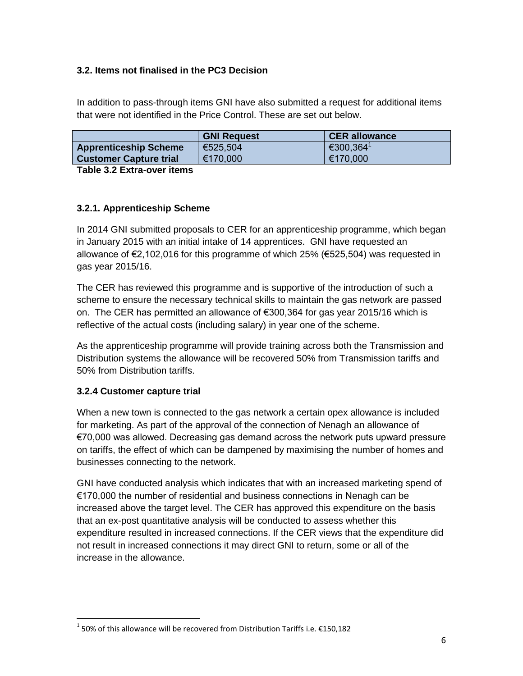#### **3.2. Items not finalised in the PC3 Decision**

In addition to pass-through items GNI have also submitted a request for additional items that were not identified in the Price Control. These are set out below.

|                               | <b>GNI Request</b> | <b>CER allowance</b>    |
|-------------------------------|--------------------|-------------------------|
| <b>Apprenticeship Scheme</b>  | €525,504           | $€300,364$ <sup>1</sup> |
| <b>Customer Capture trial</b> | €170,000           | €170,000                |

**Table 3.2 Extra-over items**

#### **3.2.1. Apprenticeship Scheme**

In 2014 GNI submitted proposals to CER for an apprenticeship programme, which began in January 2015 with an initial intake of 14 apprentices. GNI have requested an allowance of €2,102,016 for this programme of which 25% (€525,504) was requested in gas year 2015/16.

The CER has reviewed this programme and is supportive of the introduction of such a scheme to ensure the necessary technical skills to maintain the gas network are passed on. The CER has permitted an allowance of €300,364 for gas year 2015/16 which is reflective of the actual costs (including salary) in year one of the scheme.

As the apprenticeship programme will provide training across both the Transmission and Distribution systems the allowance will be recovered 50% from Transmission tariffs and 50% from Distribution tariffs.

#### **3.2.4 Customer capture trial**

 $\overline{a}$ 

When a new town is connected to the gas network a certain opex allowance is included for marketing. As part of the approval of the connection of Nenagh an allowance of €70,000 was allowed. Decreasing gas demand across the network puts upward pressure on tariffs, the effect of which can be dampened by maximising the number of homes and businesses connecting to the network.

GNI have conducted analysis which indicates that with an increased marketing spend of €170,000 the number of residential and business connections in Nenagh can be increased above the target level. The CER has approved this expenditure on the basis that an ex-post quantitative analysis will be conducted to assess whether this expenditure resulted in increased connections. If the CER views that the expenditure did not result in increased connections it may direct GNI to return, some or all of the increase in the allowance.

 $^1$  50% of this allowance will be recovered from Distribution Tariffs i.e. €150,182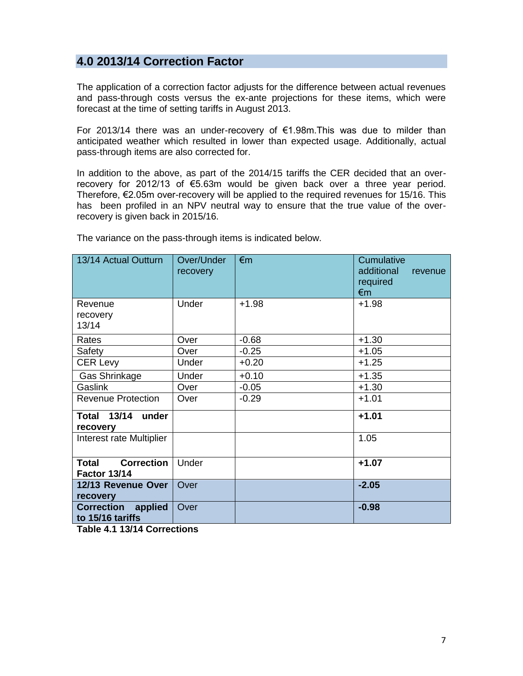### **4.0 2013/14 Correction Factor**

The application of a correction factor adjusts for the difference between actual revenues and pass-through costs versus the ex-ante projections for these items, which were forecast at the time of setting tariffs in August 2013.

For 2013/14 there was an under-recovery of €1.98m.This was due to milder than anticipated weather which resulted in lower than expected usage. Additionally, actual pass-through items are also corrected for.

In addition to the above, as part of the 2014/15 tariffs the CER decided that an overrecovery for 2012/13 of €5.63m would be given back over a three year period. Therefore, €2.05m over-recovery will be applied to the required revenues for 15/16. This has been profiled in an NPV neutral way to ensure that the true value of the overrecovery is given back in 2015/16.

The variance on the pass-through items is indicated below.

| 13/14 Actual Outturn                                     | Over/Under<br>recovery | $\epsilon$ m | Cumulative<br>additional<br>revenue<br>required<br>$\epsilon$ m |  |
|----------------------------------------------------------|------------------------|--------------|-----------------------------------------------------------------|--|
| Revenue<br>recovery<br>13/14                             | Under                  | $+1.98$      | $+1.98$                                                         |  |
| Rates                                                    | Over                   | $-0.68$      | $+1.30$                                                         |  |
| Safety                                                   | Over                   | $-0.25$      | $+1.05$                                                         |  |
| <b>CER Levy</b>                                          | Under                  | $+0.20$      | $+1.25$                                                         |  |
| Gas Shrinkage                                            | Under                  | $+0.10$      | $+1.35$                                                         |  |
| Gaslink                                                  | Over                   | $-0.05$      | $+1.30$                                                         |  |
| <b>Revenue Protection</b>                                | Over                   | $-0.29$      | $+1.01$                                                         |  |
| <b>Total 13/14</b><br>under<br>recovery                  |                        |              | $+1.01$                                                         |  |
| Interest rate Multiplier                                 |                        |              | 1.05                                                            |  |
| <b>Correction</b><br><b>Total</b><br><b>Factor 13/14</b> | Under                  |              | $+1.07$                                                         |  |
| 12/13 Revenue Over<br>recovery                           | Over                   |              | $-2.05$                                                         |  |
| <b>Correction</b><br>applied<br>to 15/16 tariffs         | Over                   |              | $-0.98$                                                         |  |

**Table 4.1 13/14 Corrections**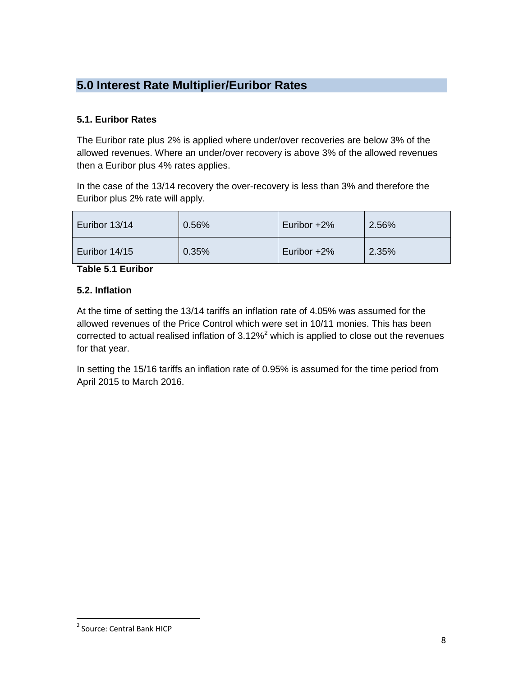## **5.0 Interest Rate Multiplier/Euribor Rates**

#### **5.1. Euribor Rates**

The Euribor rate plus 2% is applied where under/over recoveries are below 3% of the allowed revenues. Where an under/over recovery is above 3% of the allowed revenues then a Euribor plus 4% rates applies.

In the case of the 13/14 recovery the over-recovery is less than 3% and therefore the Euribor plus 2% rate will apply.

| Euribor 13/14 | 0.56% | Euribor $+2\%$ | 2.56% |
|---------------|-------|----------------|-------|
| Euribor 14/15 | 0.35% | Euribor $+2\%$ | 2.35% |

**Table 5.1 Euribor**

#### **5.2. Inflation**

At the time of setting the 13/14 tariffs an inflation rate of 4.05% was assumed for the allowed revenues of the Price Control which were set in 10/11 monies. This has been corrected to actual realised inflation of  $3.12\%$ <sup>2</sup> which is applied to close out the revenues for that year.

In setting the 15/16 tariffs an inflation rate of 0.95% is assumed for the time period from April 2015 to March 2016.

 $\overline{a}$ 

<sup>&</sup>lt;sup>2</sup> Source: Central Bank HICP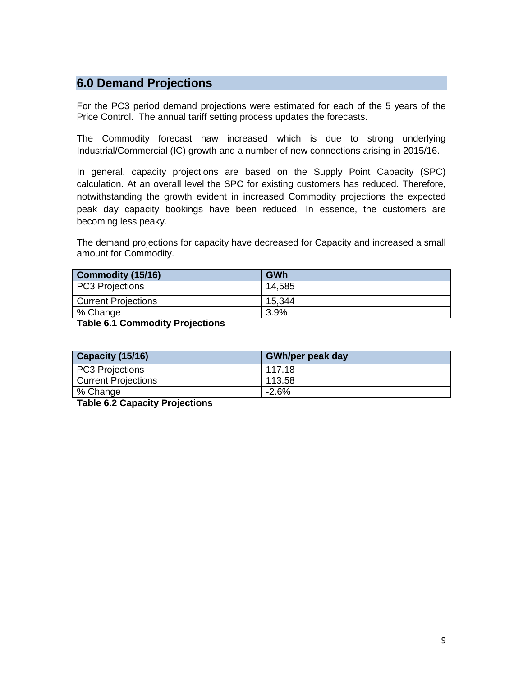### **6.0 Demand Projections**

For the PC3 period demand projections were estimated for each of the 5 years of the Price Control. The annual tariff setting process updates the forecasts.

The Commodity forecast haw increased which is due to strong underlying Industrial/Commercial (IC) growth and a number of new connections arising in 2015/16.

In general, capacity projections are based on the Supply Point Capacity (SPC) calculation. At an overall level the SPC for existing customers has reduced. Therefore, notwithstanding the growth evident in increased Commodity projections the expected peak day capacity bookings have been reduced. In essence, the customers are becoming less peaky.

The demand projections for capacity have decreased for Capacity and increased a small amount for Commodity.

| <b>GWh</b> |
|------------|
| 14,585     |
| 15.344     |
| $3.9\%$    |
|            |

**Table 6.1 Commodity Projections**

| Capacity (15/16)           | <b>GWh/per peak day</b> |
|----------------------------|-------------------------|
| PC3 Projections            | 117.18                  |
| <b>Current Projections</b> | 113.58                  |
| % Change                   | -2.6%                   |

**Table 6.2 Capacity Projections**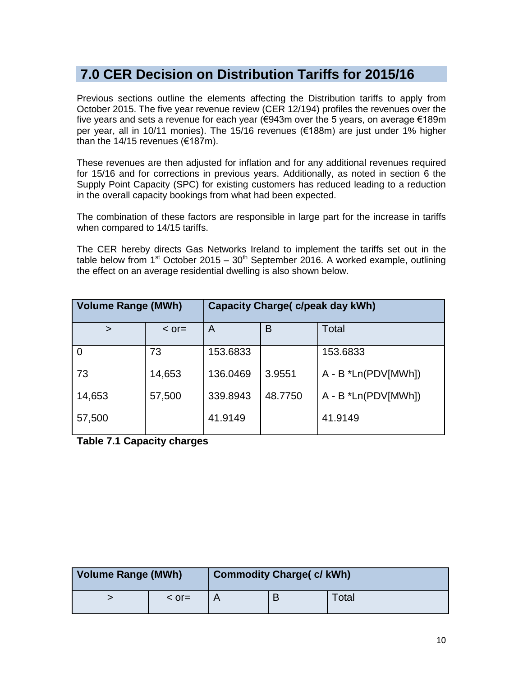# **7.0 CER Decision on Distribution Tariffs for 2015/16**

Previous sections outline the elements affecting the Distribution tariffs to apply from October 2015. The five year revenue review (CER 12/194) profiles the revenues over the five years and sets a revenue for each year (€943m over the 5 years, on average €189m per year, all in 10/11 monies). The 15/16 revenues (€188m) are just under 1% higher than the 14/15 revenues (€187m).

These revenues are then adjusted for inflation and for any additional revenues required for 15/16 and for corrections in previous years. Additionally, as noted in section 6 the Supply Point Capacity (SPC) for existing customers has reduced leading to a reduction in the overall capacity bookings from what had been expected.

The combination of these factors are responsible in large part for the increase in tariffs when compared to 14/15 tariffs.

The CER hereby directs Gas Networks Ireland to implement the tariffs set out in the table below from  $1<sup>st</sup>$  October 2015 –  $30<sup>th</sup>$  September 2016. A worked example, outlining the effect on an average residential dwelling is also shown below.

| <b>Volume Range (MWh)</b> |            | <b>Capacity Charge( c/peak day kWh)</b> |         |                        |  |
|---------------------------|------------|-----------------------------------------|---------|------------------------|--|
| $\geq$                    | $\leq$ or= | Total<br>B<br>A                         |         |                        |  |
| $\Omega$                  | 73         | 153.6833                                |         | 153.6833               |  |
| 73                        | 14,653     | 136.0469                                | 3.9551  | $A - B * Ln(PDV[MWh])$ |  |
| 14,653                    | 57,500     | 339.8943                                | 48.7750 | $A - B * Ln(PDV[MWh])$ |  |
| 57,500                    |            | 41.9149                                 |         | 41.9149                |  |

**Table 7.1 Capacity charges**

| <b>Volume Range (MWh)</b> |               | <b>Commodity Charge( c/ kWh)</b> |   |              |  |
|---------------------------|---------------|----------------------------------|---|--------------|--|
|                           | $\leq$ or $=$ |                                  | B | <b>Fotal</b> |  |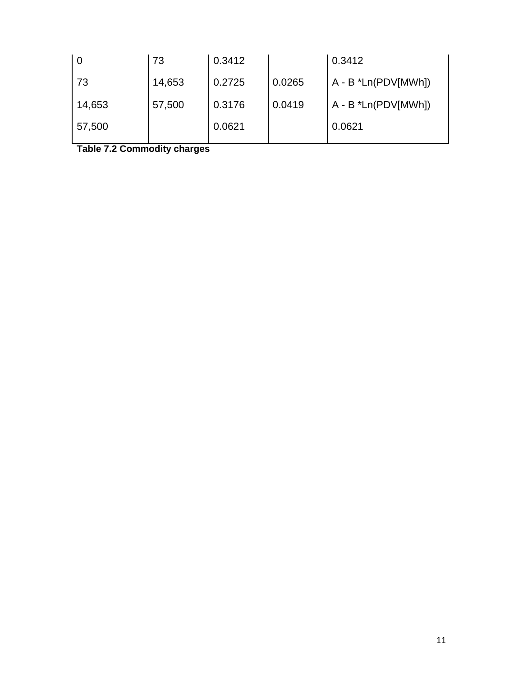| 73     | 0.3412 |        | 0.3412                 |
|--------|--------|--------|------------------------|
| 14,653 | 0.2725 | 0.0265 | A - B *Ln(PDV[MWh])    |
| 57,500 | 0.3176 | 0.0419 | $A - B * Ln(PDV[MWh])$ |
|        | 0.0621 |        | 0.0621                 |
|        |        |        |                        |

**Table 7.2 Commodity charges**